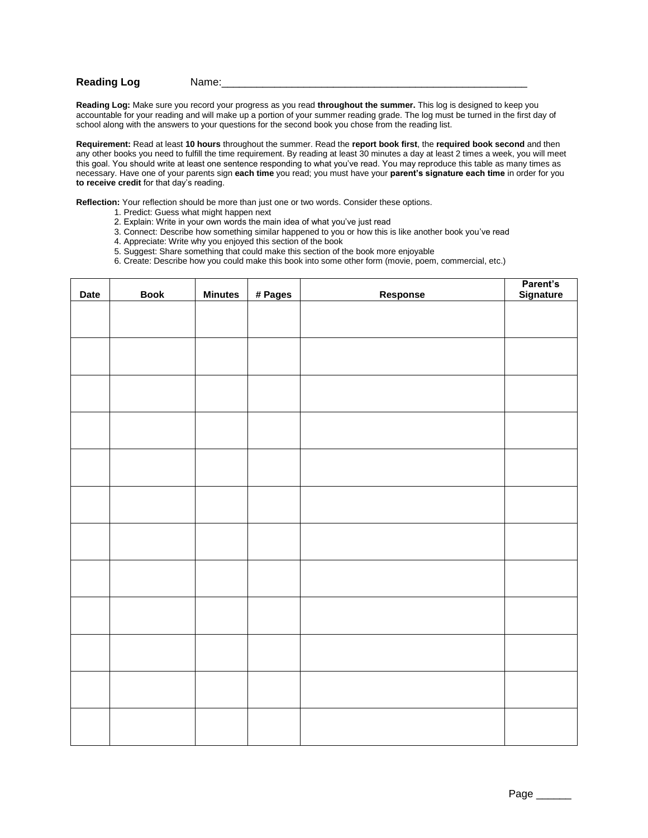## **Reading Log Name:**

**Reading Log:** Make sure you record your progress as you read **throughout the summer.** This log is designed to keep you accountable for your reading and will make up a portion of your summer reading grade. The log must be turned in the first day of school along with the answers to your questions for the second book you chose from the reading list.

**Requirement:** Read at least **10 hours** throughout the summer. Read the **report book first**, the **required book second** and then any other books you need to fulfill the time requirement. By reading at least 30 minutes a day at least 2 times a week, you will meet this goal. You should write at least one sentence responding to what you've read. You may reproduce this table as many times as necessary. Have one of your parents sign **each time** you read; you must have your **parent's signature each time** in order for you **to receive credit** for that day's reading.

**Reflection:** Your reflection should be more than just one or two words. Consider these options.

- 1. Predict: Guess what might happen next
- 2. Explain: Write in your own words the main idea of what you've just read
- 3. Connect: Describe how something similar happened to you or how this is like another book you've read
- 4. Appreciate: Write why you enjoyed this section of the book
- 5. Suggest: Share something that could make this section of the book more enjoyable

6. Create: Describe how you could make this book into some other form (movie, poem, commercial, etc.)

| Date | <b>Book</b> | <b>Minutes</b> | # Pages | Response | Parent's<br>Signature |
|------|-------------|----------------|---------|----------|-----------------------|
|      |             |                |         |          |                       |
|      |             |                |         |          |                       |
|      |             |                |         |          |                       |
|      |             |                |         |          |                       |
|      |             |                |         |          |                       |
|      |             |                |         |          |                       |
|      |             |                |         |          |                       |
|      |             |                |         |          |                       |
|      |             |                |         |          |                       |
|      |             |                |         |          |                       |
|      |             |                |         |          |                       |
|      |             |                |         |          |                       |
|      |             |                |         |          |                       |
|      |             |                |         |          |                       |
|      |             |                |         |          |                       |
|      |             |                |         |          |                       |
|      |             |                |         |          |                       |
|      |             |                |         |          |                       |
|      |             |                |         |          |                       |